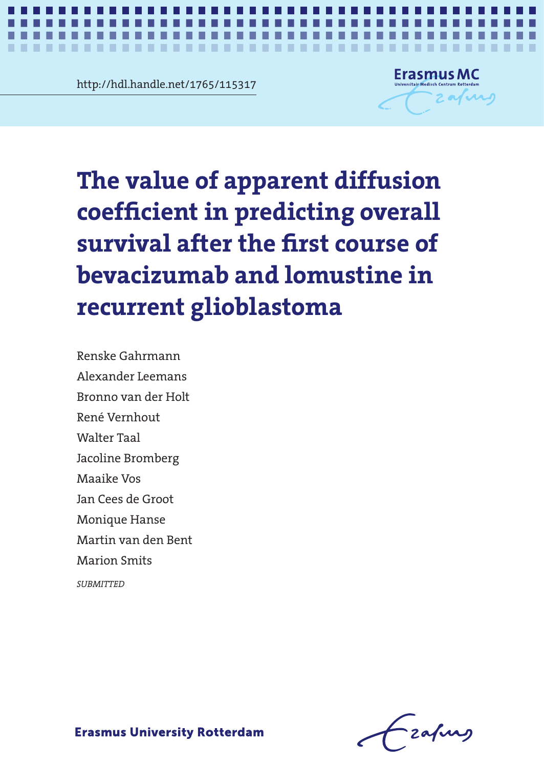http://hdl.handle.net/1765/115317



e value of apparent diff<br>efficient in predicting o The value of apparent diffusion **recurrent glioblastoma The value of apparent diffusion coefficient in predicting overall survival after the first course of bevacizumab and lomustine in** 

*Value of ADC in predicting OS in glioblastoma* **1**

surmitants<br>ler Leemans ran der Holt<br>mbout Renske Gahrmann Alexander Leemans Bronno van der Holt René Vernhout Walter Taal Jacoline Bromberg Maaike Vos Jan Cees de Groot Monique Hanse Martin van den Bent Marion Smits

*SUBMITTED*

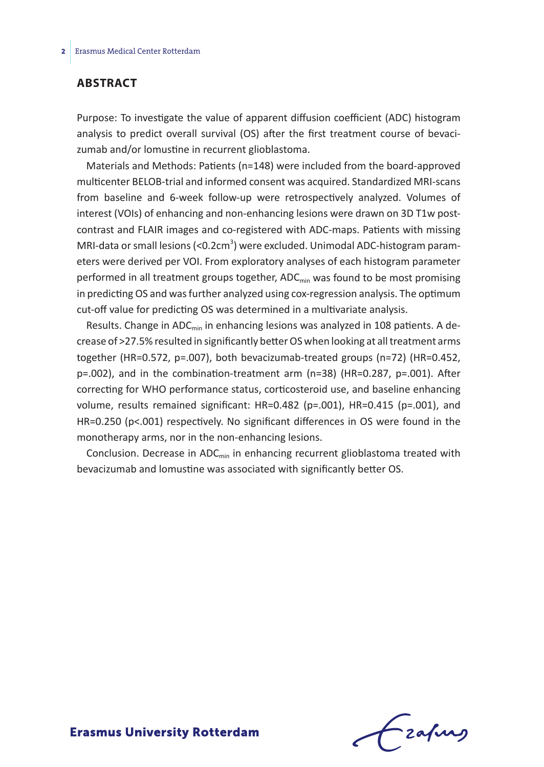## **Abstract**

Purpose: To investigate the value of apparent diffusion coefficient (ADC) histogram analysis to predict overall survival (OS) after the first treatment course of bevacizumab and/or lomustine in recurrent glioblastoma.

Materials and Methods: Patients (n=148) were included from the board-approved multicenter BELOB-trial and informed consent was acquired. Standardized MRI-scans from baseline and 6-week follow-up were retrospectively analyzed. Volumes of interest (VOIs) of enhancing and non-enhancing lesions were drawn on 3D T1w postcontrast and FLAIR images and co-registered with ADC-maps. Patients with missing MRI-data or small lesions (<0.2cm<sup>3</sup>) were excluded. Unimodal ADC-histogram parameters were derived per VOI. From exploratory analyses of each histogram parameter performed in all treatment groups together, ADC<sub>min</sub> was found to be most promising in predicting OS and was further analyzed using cox-regression analysis. The optimum cut-off value for predicting OS was determined in a multivariate analysis.

Results. Change in ADC<sub>min</sub> in enhancing lesions was analyzed in 108 patients. A decrease of >27.5% resulted in significantly better OS when looking at all treatment arms together (HR=0.572, p=.007), both bevacizumab-treated groups (n=72) (HR=0.452, p=.002), and in the combination-treatment arm (n=38) (HR=0.287, p=.001). After correcting for WHO performance status, corticosteroid use, and baseline enhancing volume, results remained significant: HR=0.482 (p=.001), HR=0.415 (p=.001), and HR=0.250 (p<.001) respectively. No significant differences in OS were found in the monotherapy arms, nor in the non-enhancing lesions.

Conclusion. Decrease in  $ADC_{min}$  in enhancing recurrent glioblastoma treated with bevacizumab and lomustine was associated with significantly better OS.

frafing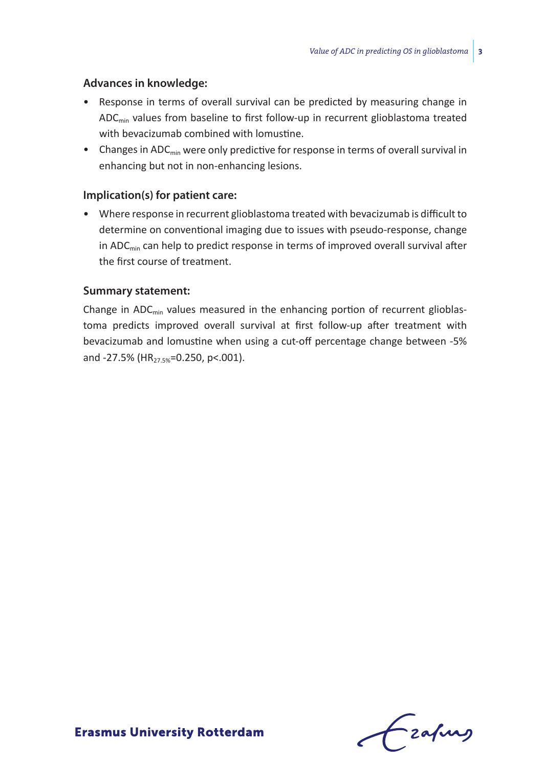# **Advances in knowledge:**

- Response in terms of overall survival can be predicted by measuring change in ADC<sub>min</sub> values from baseline to first follow-up in recurrent glioblastoma treated with bevacizumab combined with lomustine.
- Changes in  $ADC_{\text{min}}$  were only predictive for response in terms of overall survival in enhancing but not in non-enhancing lesions.

# **Implication(s) for patient care:**

• Where response in recurrent glioblastoma treated with bevacizumab is difficult to determine on conventional imaging due to issues with pseudo-response, change in ADC $_{min}$  can help to predict response in terms of improved overall survival after the first course of treatment.

## **Summary statement:**

Change in  $ADC_{min}$  values measured in the enhancing portion of recurrent glioblastoma predicts improved overall survival at first follow-up after treatment with bevacizumab and lomustine when using a cut-off percentage change between -5% and -27.5% (HR<sub>27.5%</sub>=0.250, p<.001).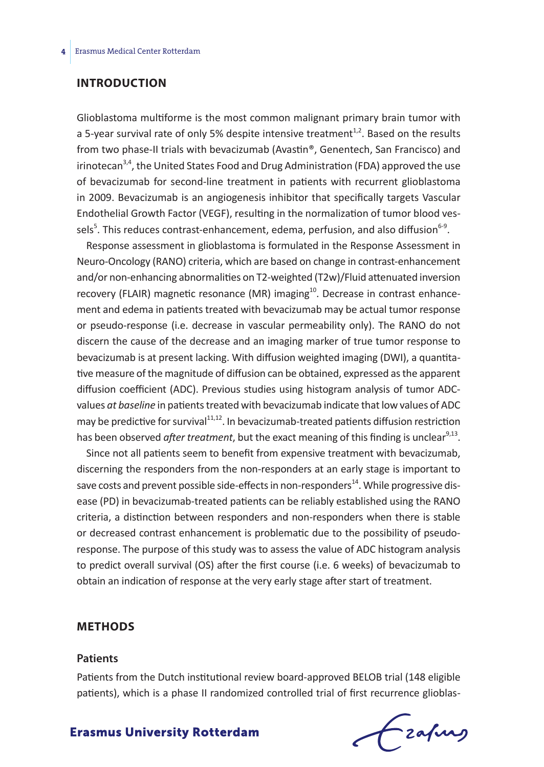# **Introduction**

Glioblastoma multiforme is the most common malignant primary brain tumor with a 5-year survival rate of only 5% despite intensive treatment<sup>1,2</sup>. Based on the results from two phase-II trials with bevacizumab (Avastin®, Genentech, San Francisco) and irinotecan<sup>3,4</sup>, the United States Food and Drug Administration (FDA) approved the use of bevacizumab for second-line treatment in patients with recurrent glioblastoma in 2009. Bevacizumab is an angiogenesis inhibitor that specifically targets Vascular Endothelial Growth Factor (VEGF), resulting in the normalization of tumor blood vessels<sup>5</sup>. This reduces contrast-enhancement, edema, perfusion, and also diffusion<sup>6-9</sup>.

Response assessment in glioblastoma is formulated in the Response Assessment in Neuro-Oncology (RANO) criteria, which are based on change in contrast-enhancement and/or non-enhancing abnormalities on T2-weighted (T2w)/Fluid attenuated inversion recovery (FLAIR) magnetic resonance (MR) imaging $10$ . Decrease in contrast enhancement and edema in patients treated with bevacizumab may be actual tumor response or pseudo-response (i.e. decrease in vascular permeability only). The RANO do not discern the cause of the decrease and an imaging marker of true tumor response to bevacizumab is at present lacking. With diffusion weighted imaging (DWI), a quantitative measure of the magnitude of diffusion can be obtained, expressed as the apparent diffusion coefficient (ADC). Previous studies using histogram analysis of tumor ADCvalues *at baseline* in patients treated with bevacizumab indicate that low values of ADC may be predictive for survival $11,12$ . In bevacizumab-treated patients diffusion restriction has been observed *after treatment*, but the exact meaning of this finding is unclear<sup>9,13</sup>.

Since not all patients seem to benefit from expensive treatment with bevacizumab, discerning the responders from the non-responders at an early stage is important to save costs and prevent possible side-effects in non-responders<sup>14</sup>. While progressive disease (PD) in bevacizumab-treated patients can be reliably established using the RANO criteria, a distinction between responders and non-responders when there is stable or decreased contrast enhancement is problematic due to the possibility of pseudoresponse. The purpose of this study was to assess the value of ADC histogram analysis to predict overall survival (OS) after the first course (i.e. 6 weeks) of bevacizumab to obtain an indication of response at the very early stage after start of treatment.

# **Methods**

#### **Patients**

Patients from the Dutch institutional review board-approved BELOB trial (148 eligible patients), which is a phase II randomized controlled trial of first recurrence glioblas-

# frafing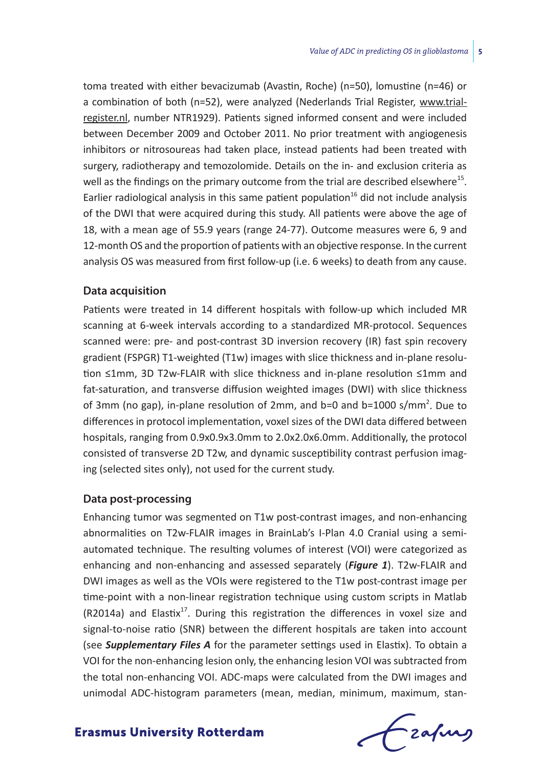toma treated with either bevacizumab (Avastin, Roche) (n=50), lomustine (n=46) or a combination of both (n=52), were analyzed (Nederlands Trial Register, www.trialregister.nl, number NTR1929). Patients signed informed consent and were included between December 2009 and October 2011. No prior treatment with angiogenesis inhibitors or nitrosoureas had taken place, instead patients had been treated with surgery, radiotherapy and temozolomide. Details on the in- and exclusion criteria as well as the findings on the primary outcome from the trial are described elsewhere $^{15}$ . Earlier radiological analysis in this same patient population $16$  did not include analysis of the DWI that were acquired during this study. All patients were above the age of 18, with a mean age of 55.9 years (range 24-77). Outcome measures were 6, 9 and 12-month OS and the proportion of patients with an objective response. In the current analysis OS was measured from first follow-up (i.e. 6 weeks) to death from any cause.

## **Data acquisition**

Patients were treated in 14 different hospitals with follow-up which included MR scanning at 6-week intervals according to a standardized MR-protocol. Sequences scanned were: pre- and post-contrast 3D inversion recovery (IR) fast spin recovery gradient (FSPGR) T1-weighted (T1w) images with slice thickness and in-plane resolution ≤1mm, 3D T2w-FLAIR with slice thickness and in-plane resolution ≤1mm and fat-saturation, and transverse diffusion weighted images (DWI) with slice thickness of 3mm (no gap), in-plane resolution of 2mm, and b=0 and b=1000 s/mm<sup>2</sup>. Due to differences in protocol implementation, voxel sizes of the DWI data differed between hospitals, ranging from 0.9x0.9x3.0mm to 2.0x2.0x6.0mm. Additionally, the protocol consisted of transverse 2D T2w, and dynamic susceptibility contrast perfusion imaging (selected sites only), not used for the current study.

## **Data post-processing**

Enhancing tumor was segmented on T1w post-contrast images, and non-enhancing abnormalities on T2w-FLAIR images in BrainLab's I-Plan 4.0 Cranial using a semiautomated technique. The resulting volumes of interest (VOI) were categorized as enhancing and non-enhancing and assessed separately (*Figure 1*). T2w-FLAIR and DWI images as well as the VOIs were registered to the T1w post-contrast image per time-point with a non-linear registration technique using custom scripts in Matlab (R2014a) and Elastix<sup>17</sup>. During this registration the differences in voxel size and signal-to-noise ratio (SNR) between the different hospitals are taken into account (see *Supplementary Files A* for the parameter settings used in Elastix). To obtain a VOI for the non-enhancing lesion only, the enhancing lesion VOI was subtracted from the total non-enhancing VOI. ADC-maps were calculated from the DWI images and unimodal ADC-histogram parameters (mean, median, minimum, maximum, stan-

Frahing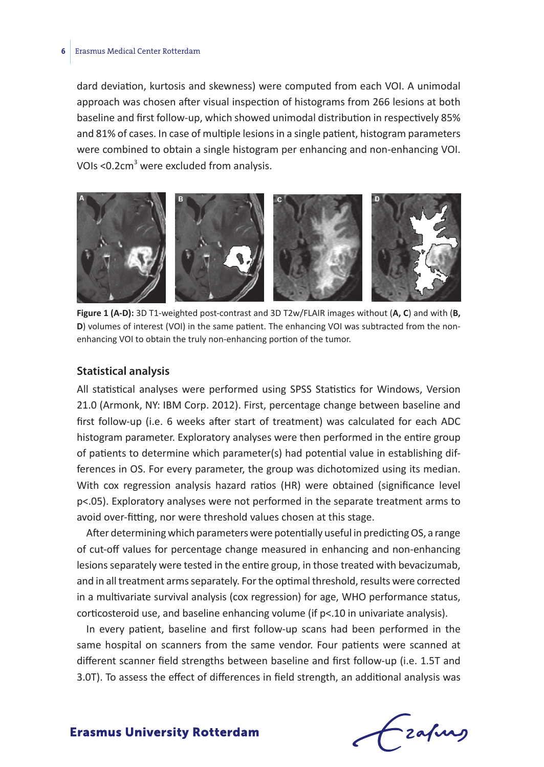dard deviation, kurtosis and skewness) were computed from each VOI. A unimodal approach was chosen after visual inspection of histograms from 266 lesions at both baseline and first follow-up, which showed unimodal distribution in respectively 85% and 81% of cases. In case of multiple lesions in a single patient, histogram parameters were combined to obtain a single histogram per enhancing and non-enhancing VOI. VOIs <0.2cm<sup>3</sup> were excluded from analysis.



**Figure 1 (A-D):** 3D T1-weighted post-contrast and 3D T2w/FLAIR images without (**A, C**) and with (**B, D**) volumes of interest (VOI) in the same patient. The enhancing VOI was subtracted from the nonenhancing VOI to obtain the truly non-enhancing portion of the tumor.

#### **Statistical analysis**

All statistical analyses were performed using SPSS Statistics for Windows, Version 21.0 (Armonk, NY: IBM Corp. 2012). First, percentage change between baseline and first follow-up (i.e. 6 weeks after start of treatment) was calculated for each ADC histogram parameter. Exploratory analyses were then performed in the entire group of patients to determine which parameter(s) had potential value in establishing differences in OS. For every parameter, the group was dichotomized using its median. With cox regression analysis hazard ratios (HR) were obtained (significance level p<.05). Exploratory analyses were not performed in the separate treatment arms to avoid over-fitting, nor were threshold values chosen at this stage.

After determining which parameters were potentially useful in predicting OS, a range of cut-off values for percentage change measured in enhancing and non-enhancing lesions separately were tested in the entire group, in those treated with bevacizumab, and in all treatment arms separately. For the optimal threshold, results were corrected in a multivariate survival analysis (cox regression) for age, WHO performance status, corticosteroid use, and baseline enhancing volume (if p<.10 in univariate analysis).

In every patient, baseline and first follow-up scans had been performed in the same hospital on scanners from the same vendor. Four patients were scanned at different scanner field strengths between baseline and first follow-up (i.e. 1.5T and 3.0T). To assess the effect of differences in field strength, an additional analysis was

Frafing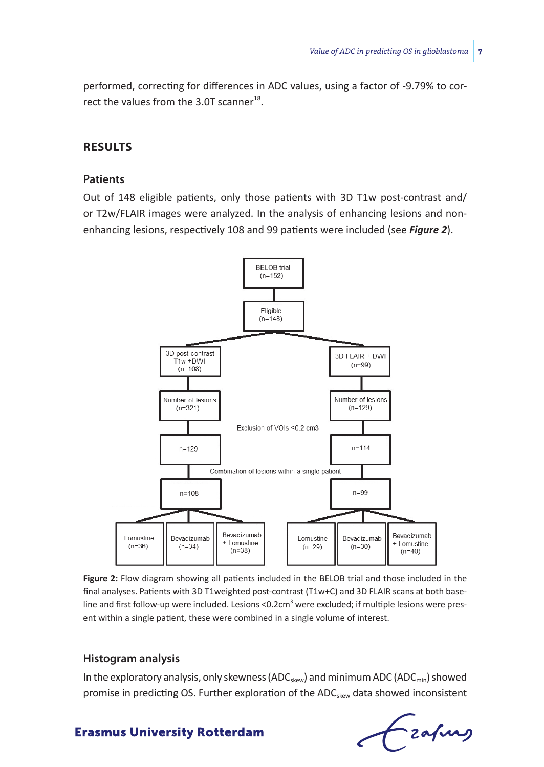performed, correcting for differences in ADC values, using a factor of -9.79% to correct the values from the 3.0T scanner<sup>18</sup>.

# **Results**

# **Patients**

Out of 148 eligible patients, only those patients with 3D T1w post-contrast and/ or T2w/FLAIR images were analyzed. In the analysis of enhancing lesions and nonenhancing lesions, respectively 108 and 99 patients were included (see *Figure 2*).



**Figure 2:** Flow diagram showing all patients included in the BELOB trial and those included in the final analyses. Patients with 3D T1weighted post-contrast (T1w+C) and 3D FLAIR scans at both baseline and first follow-up were included. Lesions <0.2cm<sup>3</sup> were excluded; if multiple lesions were present within a single patient, these were combined in a single volume of interest.

# **Histogram analysis**

In the exploratory analysis, only skewness ( $ADC_{\text{skew}}$ ) and minimum ADC ( $ADC_{\text{min}}$ ) showed promise in predicting OS. Further exploration of the ADC<sub>skew</sub> data showed inconsistent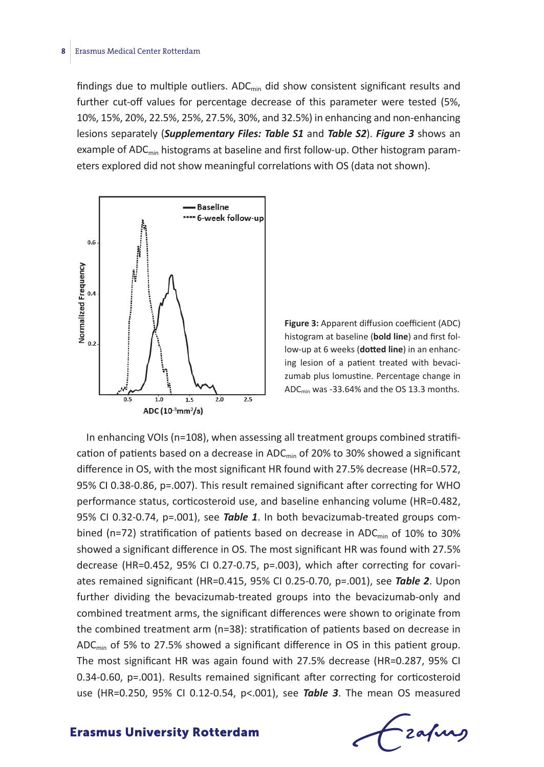findings due to multiple outliers.  $ADC_{min}$  did show consistent significant results and further cut-off values for percentage decrease of this parameter were tested (5%, 10%, 15%, 20%, 22.5%, 25%, 27.5%, 30%, and 32.5%) in enhancing and non-enhancing lesions separately (*Supplementary Files: Table S1* and *Table S2*). *Figure 3* shows an example of  $ADC_{\text{min}}$  histograms at baseline and first follow-up. Other histogram parameters explored did not show meaningful correlations with OS (data not shown).



**Figure 3:** Apparent diffusion coefficient (ADC) histogram at baseline (**bold line**) and first follow-up at 6 weeks (**dotted line**) in an enhancing lesion of a patient treated with bevacizumab plus lomustine. Percentage change in ADCmin was -33.64% and the OS 13.3 months.

In enhancing VOIs (n=108), when assessing all treatment groups combined stratification of patients based on a decrease in ADC $_{min}$  of 20% to 30% showed a significant difference in OS, with the most significant HR found with 27.5% decrease (HR=0.572, 95% CI 0.38-0.86, p=.007). This result remained significant after correcting for WHO performance status, corticosteroid use, and baseline enhancing volume (HR=0.482, 95% CI 0.32-0.74, p=.001), see *Table 1*. In both bevacizumab-treated groups combined (n=72) stratification of patients based on decrease in ADC<sub>min</sub> of 10% to 30% showed a significant difference in OS. The most significant HR was found with 27.5% decrease (HR=0.452, 95% CI 0.27-0.75, p=.003), which after correcting for covariates remained significant (HR=0.415, 95% CI 0.25-0.70, p=.001), see *Table 2*. Upon further dividing the bevacizumab-treated groups into the bevacizumab-only and combined treatment arms, the significant differences were shown to originate from the combined treatment arm (n=38): stratification of patients based on decrease in ADC<sub>min</sub> of 5% to 27.5% showed a significant difference in OS in this patient group. The most significant HR was again found with 27.5% decrease (HR=0.287, 95% CI 0.34-0.60, p=.001). Results remained significant after correcting for corticosteroid use (HR=0.250, 95% CI 0.12-0.54, p<.001), see *Table 3*. The mean OS measured

Lzafung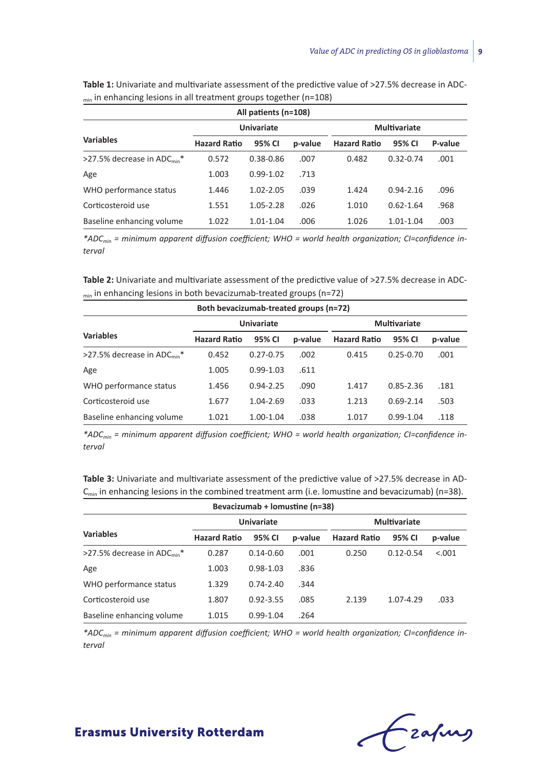|                                         |                     | All patients (n=108) |         |                     |               |         |
|-----------------------------------------|---------------------|----------------------|---------|---------------------|---------------|---------|
|                                         |                     | <b>Univariate</b>    |         |                     | Multivariate  |         |
| <b>Variables</b>                        | <b>Hazard Ratio</b> | 95% CI               | p-value | <b>Hazard Ratio</b> | 95% CI        | P-value |
| >27.5% decrease in ADC <sub>min</sub> * | 0.572               | $0.38 - 0.86$        | .007    | 0.482               | $0.32 - 0.74$ | .001    |
| Age                                     | 1.003               | $0.99 - 1.02$        | .713    |                     |               |         |
| WHO performance status                  | 1.446               | 1.02-2.05            | .039    | 1.424               | $0.94 - 2.16$ | .096    |
| Corticosteroid use                      | 1.551               | 1.05-2.28            | .026    | 1.010               | $0.62 - 1.64$ | .968    |
| Baseline enhancing volume               | 1.022               | 1.01-1.04            | .006    | 1.026               | 1.01-1.04     | .003    |

Table 1: Univariate and multivariate assessment of the predictive value of >27.5% decrease in ADC- $_{min}$  in enhancing lesions in all treatment groups together (n=108)

*\*ADCmin = minimum apparent diffusion coefficient; WHO = world health organization; CI=confidence interval*

Table 2: Univariate and multivariate assessment of the predictive value of >27.5% decrease in ADCmin in enhancing lesions in both bevacizumab-treated groups (n=72)

|                                         | Both bevacizumab-treated groups (n=72) |                   |         |                     |               |         |
|-----------------------------------------|----------------------------------------|-------------------|---------|---------------------|---------------|---------|
|                                         |                                        | <b>Univariate</b> |         |                     | Multivariate  |         |
| <b>Variables</b>                        | <b>Hazard Ratio</b>                    | 95% CI            | p-value | <b>Hazard Ratio</b> | 95% CI        | p-value |
| >27.5% decrease in ADC <sub>min</sub> * | 0.452                                  | $0.27 - 0.75$     | .002    | 0.415               | $0.25 - 0.70$ | .001    |
| Age                                     | 1.005                                  | $0.99 - 1.03$     | .611    |                     |               |         |
| WHO performance status                  | 1.456                                  | $0.94 - 2.25$     | .090    | 1.417               | $0.85 - 2.36$ | .181    |
| Corticosteroid use                      | 1.677                                  | 1.04-2.69         | .033    | 1.213               | $0.69 - 2.14$ | .503    |
| Baseline enhancing volume               | 1.021                                  | 1.00-1.04         | .038    | 1.017               | $0.99 - 1.04$ | .118    |

*\*ADCmin = minimum apparent diffusion coefficient; WHO = world health organization; CI=confidence interval*

Table 3: Univariate and multivariate assessment of the predictive value of >27.5% decrease in AD- $C<sub>min</sub>$  in enhancing lesions in the combined treatment arm (i.e. lomustine and bevacizumab) (n=38).

|                                         |                     | Bevacizumab + lomustine (n=38) |         |                     |               |         |  |
|-----------------------------------------|---------------------|--------------------------------|---------|---------------------|---------------|---------|--|
|                                         |                     | Univariate                     |         |                     | Multivariate  |         |  |
| <b>Variables</b>                        | <b>Hazard Ratio</b> | 95% CI                         | p-value | <b>Hazard Ratio</b> | 95% CI        | p-value |  |
| >27.5% decrease in ADC <sub>min</sub> * | 0.287               | $0.14 - 0.60$                  | .001    | 0.250               | $0.12 - 0.54$ | < .001  |  |
| Age                                     | 1.003               | $0.98 - 1.03$                  | .836    |                     |               |         |  |
| WHO performance status                  | 1.329               | $0.74 - 2.40$                  | .344    |                     |               |         |  |
| Corticosteroid use                      | 1.807               | $0.92 - 3.55$                  | .085    | 2.139               | 1.07-4.29     | .033    |  |
| Baseline enhancing volume               | 1.015               | $0.99 - 1.04$                  | .264    |                     |               |         |  |

*\*ADCmin = minimum apparent diffusion coefficient; WHO = world health organization; CI=confidence interval*

Czapus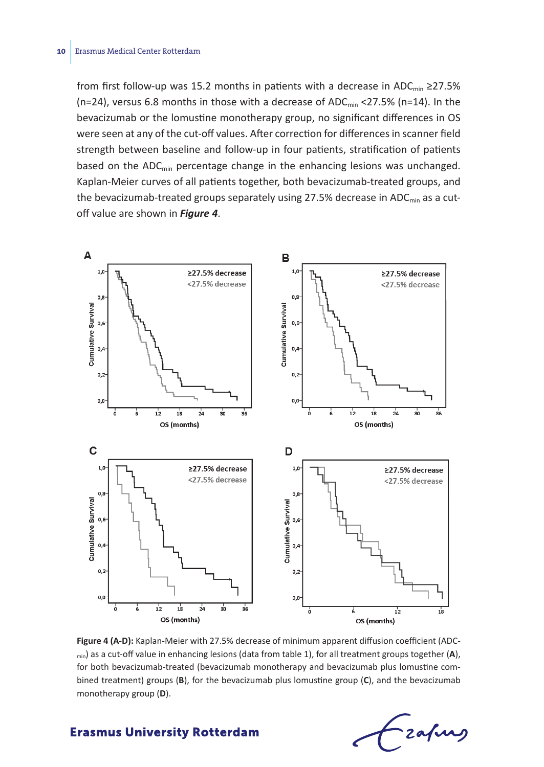from first follow-up was 15.2 months in patients with a decrease in ADC<sub>min</sub> ≥27.5% (n=24), versus 6.8 months in those with a decrease of ADC<sub>min</sub> <27.5% (n=14). In the bevacizumab or the lomustine monotherapy group, no significant differences in OS were seen at any of the cut-off values. After correction for differences in scanner field strength between baseline and follow-up in four patients, stratification of patients based on the  $ADC_{\text{min}}$  percentage change in the enhancing lesions was unchanged. Kaplan-Meier curves of all patients together, both bevacizumab-treated groups, and the bevacizumab-treated groups separately using  $27.5\%$  decrease in ADC<sub>min</sub> as a cutoff value are shown in *Figure 4*.



**Figure 4 (A-D):** Kaplan-Meier with 27.5% decrease of minimum apparent diffusion coefficient (ADCmin) as a cut-off value in enhancing lesions (data from table 1), for all treatment groups together (**A**), for both bevacizumab-treated (bevacizumab monotherapy and bevacizumab plus lomustine combined treatment) groups (**B**), for the bevacizumab plus lomustine group (**C**), and the bevacizumab monotherapy group (**D**).

- zafung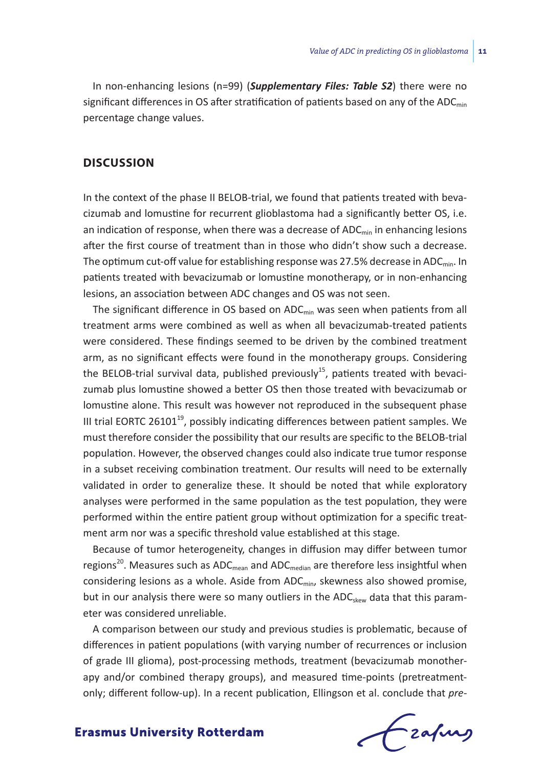In non-enhancing lesions (n=99) (*Supplementary Files: Table S2*) there were no significant differences in OS after stratification of patients based on any of the ADC $_{min}$ percentage change values.

# **Discussion**

In the context of the phase II BELOB-trial, we found that patients treated with bevacizumab and lomustine for recurrent glioblastoma had a significantly better OS, i.e. an indication of response, when there was a decrease of  $ADC_{\text{min}}$  in enhancing lesions after the first course of treatment than in those who didn't show such a decrease. The optimum cut-off value for establishing response was 27.5% decrease in ADC $_{\text{min}}$ . In patients treated with bevacizumab or lomustine monotherapy, or in non-enhancing lesions, an association between ADC changes and OS was not seen.

The significant difference in OS based on  $ADC_{min}$  was seen when patients from all treatment arms were combined as well as when all bevacizumab-treated patients were considered. These findings seemed to be driven by the combined treatment arm, as no significant effects were found in the monotherapy groups. Considering the BELOB-trial survival data, published previously<sup>15</sup>, patients treated with bevacizumab plus lomustine showed a better OS then those treated with bevacizumab or lomustine alone. This result was however not reproduced in the subsequent phase III trial EORTC 26101 $^{19}$ , possibly indicating differences between patient samples. We must therefore consider the possibility that our results are specific to the BELOB-trial population. However, the observed changes could also indicate true tumor response in a subset receiving combination treatment. Our results will need to be externally validated in order to generalize these. It should be noted that while exploratory analyses were performed in the same population as the test population, they were performed within the entire patient group without optimization for a specific treatment arm nor was a specific threshold value established at this stage.

Because of tumor heterogeneity, changes in diffusion may differ between tumor regions<sup>20</sup>. Measures such as ADC<sub>mean</sub> and ADC<sub>median</sub> are therefore less insightful when considering lesions as a whole. Aside from  $ADC_{min}$ , skewness also showed promise, but in our analysis there were so many outliers in the ADC<sub>skew</sub> data that this parameter was considered unreliable.

A comparison between our study and previous studies is problematic, because of differences in patient populations (with varying number of recurrences or inclusion of grade III glioma), post-processing methods, treatment (bevacizumab monotherapy and/or combined therapy groups), and measured time-points (pretreatmentonly; different follow-up). In a recent publication, Ellingson et al. conclude that *pre-*

frafing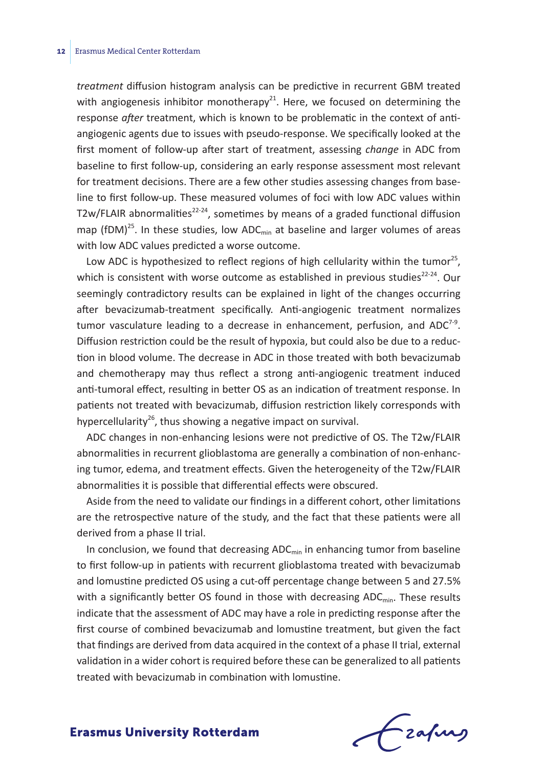*treatment* diffusion histogram analysis can be predictive in recurrent GBM treated with angiogenesis inhibitor monotherapy<sup>21</sup>. Here, we focused on determining the response *after* treatment, which is known to be problematic in the context of antiangiogenic agents due to issues with pseudo-response. We specifically looked at the first moment of follow-up after start of treatment, assessing *change* in ADC from baseline to first follow-up, considering an early response assessment most relevant for treatment decisions. There are a few other studies assessing changes from baseline to first follow-up. These measured volumes of foci with low ADC values within T2w/FLAIR abnormalities<sup>22-24</sup>, sometimes by means of a graded functional diffusion map (fDM)<sup>25</sup>. In these studies, low ADC<sub>min</sub> at baseline and larger volumes of areas with low ADC values predicted a worse outcome.

Low ADC is hypothesized to reflect regions of high cellularity within the tumor<sup>25</sup>, which is consistent with worse outcome as established in previous studies<sup>22-24</sup>. Our seemingly contradictory results can be explained in light of the changes occurring after bevacizumab-treatment specifically. Anti-angiogenic treatment normalizes tumor vasculature leading to a decrease in enhancement, perfusion, and  $ADC^{7.9}$ . Diffusion restriction could be the result of hypoxia, but could also be due to a reduction in blood volume. The decrease in ADC in those treated with both bevacizumab and chemotherapy may thus reflect a strong anti-angiogenic treatment induced anti-tumoral effect, resulting in better OS as an indication of treatment response. In patients not treated with bevacizumab, diffusion restriction likely corresponds with hypercellularity<sup>26</sup>, thus showing a negative impact on survival.

ADC changes in non-enhancing lesions were not predictive of OS. The T2w/FLAIR abnormalities in recurrent glioblastoma are generally a combination of non-enhancing tumor, edema, and treatment effects. Given the heterogeneity of the T2w/FLAIR abnormalities it is possible that differential effects were obscured.

Aside from the need to validate our findings in a different cohort, other limitations are the retrospective nature of the study, and the fact that these patients were all derived from a phase II trial.

In conclusion, we found that decreasing  $ADC_{min}$  in enhancing tumor from baseline to first follow-up in patients with recurrent glioblastoma treated with bevacizumab and lomustine predicted OS using a cut-off percentage change between 5 and 27.5% with a significantly better OS found in those with decreasing  $ADC_{\text{min}}$ . These results indicate that the assessment of ADC may have a role in predicting response after the first course of combined bevacizumab and lomustine treatment, but given the fact that findings are derived from data acquired in the context of a phase II trial, external validation in a wider cohort is required before these can be generalized to all patients treated with bevacizumab in combination with lomustine.

frafing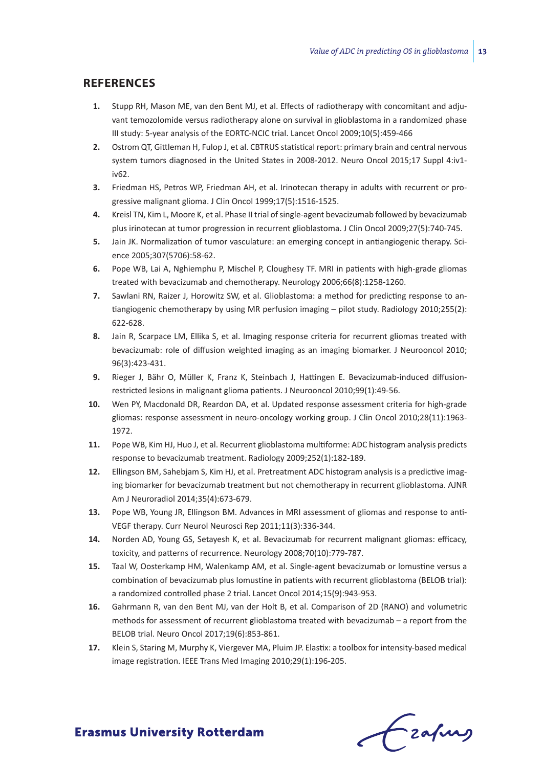## **References**

- **1.** Stupp RH, Mason ME, van den Bent MJ, et al. Effects of radiotherapy with concomitant and adjuvant temozolomide versus radiotherapy alone on survival in glioblastoma in a randomized phase III study: 5-year analysis of the EORTC-NCIC trial. Lancet Oncol 2009;10(5):459-466
- **2.** Ostrom QT, Gittleman H, Fulop J, et al. CBTRUS statistical report: primary brain and central nervous system tumors diagnosed in the United States in 2008-2012. Neuro Oncol 2015;17 Suppl 4:iv1 iv62.
- **3.** Friedman HS, Petros WP, Friedman AH, et al. Irinotecan therapy in adults with recurrent or progressive malignant glioma. J Clin Oncol 1999;17(5):1516-1525.
- **4.** Kreisl TN, Kim L, Moore K, et al. Phase II trial of single-agent bevacizumab followed by bevacizumab plus irinotecan at tumor progression in recurrent glioblastoma. J Clin Oncol 2009;27(5):740-745.
- **5.** Jain JK. Normalization of tumor vasculature: an emerging concept in antiangiogenic therapy. Science 2005;307(5706):58-62.
- **6.** Pope WB, Lai A, Nghiemphu P, Mischel P, Cloughesy TF. MRI in patients with high-grade gliomas treated with bevacizumab and chemotherapy. Neurology 2006;66(8):1258-1260.
- **7.** Sawlani RN, Raizer J, Horowitz SW, et al. Glioblastoma: a method for predicting response to antiangiogenic chemotherapy by using MR perfusion imaging – pilot study. Radiology 2010;255(2): 622-628.
- **8.** Jain R, Scarpace LM, Ellika S, et al. Imaging response criteria for recurrent gliomas treated with bevacizumab: role of diffusion weighted imaging as an imaging biomarker. J Neurooncol 2010; 96(3):423-431.
- **9.** Rieger J, Bähr O, Müller K, Franz K, Steinbach J, Hattingen E. Bevacizumab-induced diffusionrestricted lesions in malignant glioma patients. J Neurooncol 2010;99(1):49-56.
- **10.** Wen PY, Macdonald DR, Reardon DA, et al. Updated response assessment criteria for high-grade gliomas: response assessment in neuro-oncology working group. J Clin Oncol 2010;28(11):1963- 1972.
- **11.** Pope WB, Kim HJ, Huo J, et al. Recurrent glioblastoma multiforme: ADC histogram analysis predicts response to bevacizumab treatment. Radiology 2009;252(1):182-189.
- **12.** Ellingson BM, Sahebjam S, Kim HJ, et al. Pretreatment ADC histogram analysis is a predictive imaging biomarker for bevacizumab treatment but not chemotherapy in recurrent glioblastoma. AJNR Am J Neuroradiol 2014;35(4):673-679.
- **13.** Pope WB, Young JR, Ellingson BM. Advances in MRI assessment of gliomas and response to anti-VEGF therapy. Curr Neurol Neurosci Rep 2011;11(3):336-344.
- **14.** Norden AD, Young GS, Setayesh K, et al. Bevacizumab for recurrent malignant gliomas: efficacy, toxicity, and patterns of recurrence. Neurology 2008;70(10):779-787.
- **15.** Taal W, Oosterkamp HM, Walenkamp AM, et al. Single-agent bevacizumab or lomustine versus a combination of bevacizumab plus lomustine in patients with recurrent glioblastoma (BELOB trial): a randomized controlled phase 2 trial. Lancet Oncol 2014;15(9):943-953.
- **16.** Gahrmann R, van den Bent MJ, van der Holt B, et al. Comparison of 2D (RANO) and volumetric methods for assessment of recurrent glioblastoma treated with bevacizumab – a report from the BELOB trial. Neuro Oncol 2017;19(6):853-861.
- **17.** Klein S, Staring M, Murphy K, Viergever MA, Pluim JP. Elastix: a toolbox for intensity-based medical image registration. IEEE Trans Med Imaging 2010;29(1):196-205.

frafing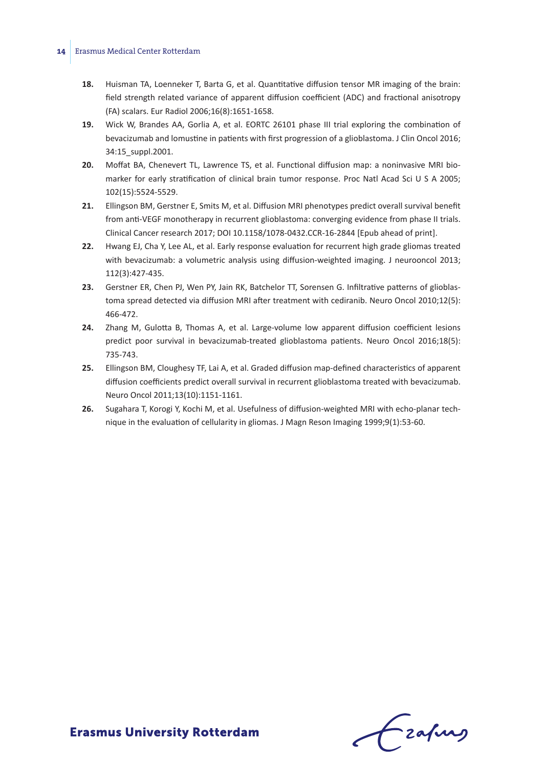- **18.** Huisman TA, Loenneker T, Barta G, et al. Quantitative diffusion tensor MR imaging of the brain: field strength related variance of apparent diffusion coefficient (ADC) and fractional anisotropy (FA) scalars. Eur Radiol 2006;16(8):1651-1658.
- **19.** Wick W, Brandes AA, Gorlia A, et al. EORTC 26101 phase III trial exploring the combination of bevacizumab and lomustine in patients with first progression of a glioblastoma. J Clin Oncol 2016; 34:15\_suppl.2001.
- **20.** Moffat BA, Chenevert TL, Lawrence TS, et al. Functional diffusion map: a noninvasive MRI biomarker for early stratification of clinical brain tumor response. Proc Natl Acad Sci U S A 2005; 102(15):5524-5529.
- **21.** Ellingson BM, Gerstner E, Smits M, et al. Diffusion MRI phenotypes predict overall survival benefit from anti-VEGF monotherapy in recurrent glioblastoma: converging evidence from phase II trials. Clinical Cancer research 2017; DOI 10.1158/1078-0432.CCR-16-2844 [Epub ahead of print].
- **22.** Hwang EJ, Cha Y, Lee AL, et al. Early response evaluation for recurrent high grade gliomas treated with bevacizumab: a volumetric analysis using diffusion-weighted imaging. J neurooncol 2013; 112(3):427-435.
- **23.** Gerstner ER, Chen PJ, Wen PY, Jain RK, Batchelor TT, Sorensen G. Infiltrative patterns of glioblastoma spread detected via diffusion MRI after treatment with cediranib. Neuro Oncol 2010;12(5): 466-472.
- **24.** Zhang M, Gulotta B, Thomas A, et al. Large-volume low apparent diffusion coefficient lesions predict poor survival in bevacizumab-treated glioblastoma patients. Neuro Oncol 2016;18(5): 735-743.
- **25.** Ellingson BM, Cloughesy TF, Lai A, et al. Graded diffusion map-defined characteristics of apparent diffusion coefficients predict overall survival in recurrent glioblastoma treated with bevacizumab. Neuro Oncol 2011;13(10):1151-1161.
- **26.** Sugahara T, Korogi Y, Kochi M, et al. Usefulness of diffusion-weighted MRI with echo-planar technique in the evaluation of cellularity in gliomas. J Magn Reson Imaging 1999;9(1):53-60.

Frahing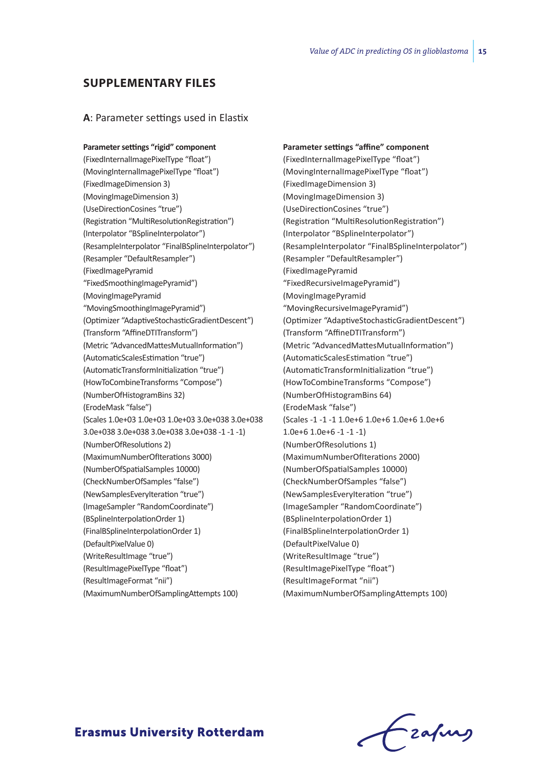# **Supplementary files**

#### **A**: Parameter settings used in Elastix

**Parameter settings "rigid" component** (FixedInternalImagePixelType "float") (MovingInternalImagePixelType "float") (FixedImageDimension 3) (MovingImageDimension 3) (UseDirectionCosines "true") (Registration "MultiResolutionRegistration") (Interpolator "BSplineInterpolator") (ResampleInterpolator "FinalBSplineInterpolator") (Resampler "DefaultResampler") (FixedImagePyramid "FixedSmoothingImagePyramid") (MovingImagePyramid "MovingSmoothingImagePyramid") (Optimizer "AdaptiveStochasticGradientDescent") (Transform "AffineDTITransform") (Metric "AdvancedMattesMutualInformation") (AutomaticScalesEstimation "true") (AutomaticTransformInitialization "true") (HowToCombineTransforms "Compose") (NumberOfHistogramBins 32) (ErodeMask "false") (Scales 1.0e+03 1.0e+03 1.0e+03 3.0e+038 3.0e+038 3.0e+038 3.0e+038 3.0e+038 3.0e+038 -1 -1 -1) (NumberOfResolutions 2) (MaximumNumberOfIterations 3000) (NumberOfSpatialSamples 10000) (CheckNumberOfSamples "false") (NewSamplesEveryIteration "true") (ImageSampler "RandomCoordinate") (BSplineInterpolationOrder 1) (FinalBSplineInterpolationOrder 1) (DefaultPixelValue 0) (WriteResultImage "true") (ResultImagePixelType "float") (ResultImageFormat "nii") (MaximumNumberOfSamplingAttempts 100)

**Parameter settings "affine" component** (FixedInternalImagePixelType "float") (MovingInternalImagePixelType "float") (FixedImageDimension 3) (MovingImageDimension 3) (UseDirectionCosines "true") (Registration "MultiResolutionRegistration") (Interpolator "BSplineInterpolator") (ResampleInterpolator "FinalBSplineInterpolator") (Resampler "DefaultResampler") (FixedImagePyramid "FixedRecursiveImagePyramid") (MovingImagePyramid "MovingRecursiveImagePyramid") (Optimizer "AdaptiveStochasticGradientDescent") (Transform "AffineDTITransform") (Metric "AdvancedMattesMutualInformation") (AutomaticScalesEstimation "true") (AutomaticTransformInitialization "true") (HowToCombineTransforms "Compose") (NumberOfHistogramBins 64) (ErodeMask "false") (Scales -1 -1 -1 1.0e+6 1.0e+6 1.0e+6 1.0e+6 1.0e+6 1.0e+6 -1 -1 -1) (NumberOfResolutions 1) (MaximumNumberOfIterations 2000) (NumberOfSpatialSamples 10000) (CheckNumberOfSamples "false") (NewSamplesEveryIteration "true") (ImageSampler "RandomCoordinate") (BSplineInterpolationOrder 1) (FinalBSplineInterpolationOrder 1) (DefaultPixelValue 0) (WriteResultImage "true") (ResultImagePixelType "float") (ResultImageFormat "nii") (MaximumNumberOfSamplingAttempts 100)

frafing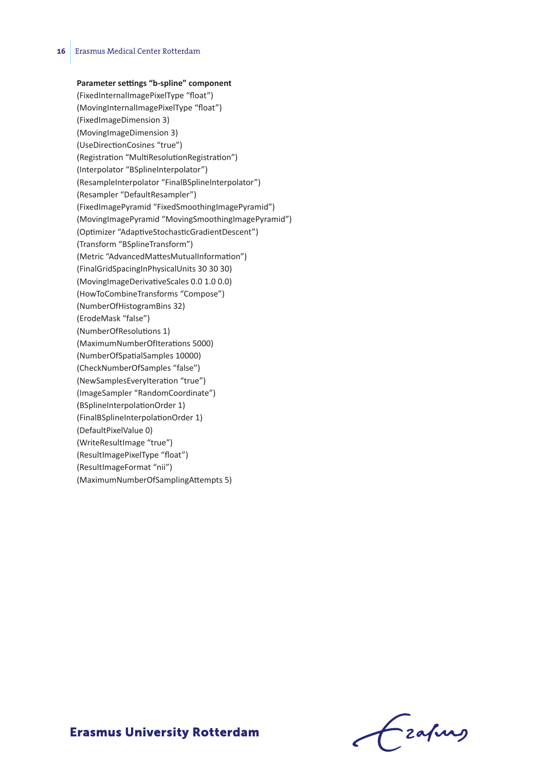#### **Parameter settings "b-spline" component**

(FixedInternalImagePixelType "float") (MovingInternalImagePixelType "float") (FixedImageDimension 3) (MovingImageDimension 3) (UseDirectionCosines "true") (Registration "MultiResolutionRegistration") (Interpolator "BSplineInterpolator") (ResampleInterpolator "FinalBSplineInterpolator") (Resampler "DefaultResampler") (FixedImagePyramid "FixedSmoothingImagePyramid") (MovingImagePyramid "MovingSmoothingImagePyramid") (Optimizer "AdaptiveStochasticGradientDescent") (Transform "BSplineTransform") (Metric "AdvancedMattesMutualInformation") (FinalGridSpacingInPhysicalUnits 30 30 30) (MovingImageDerivativeScales 0.0 1.0 0.0) (HowToCombineTransforms "Compose") (NumberOfHistogramBins 32) (ErodeMask "false") (NumberOfResolutions 1) (MaximumNumberOfIterations 5000) (NumberOfSpatialSamples 10000) (CheckNumberOfSamples "false") (NewSamplesEveryIteration "true") (ImageSampler "RandomCoordinate") (BSplineInterpolationOrder 1) (FinalBSplineInterpolationOrder 1) (DefaultPixelValue 0) (WriteResultImage "true") (ResultImagePixelType "float") (ResultImageFormat "nii") (MaximumNumberOfSamplingAttempts 5)

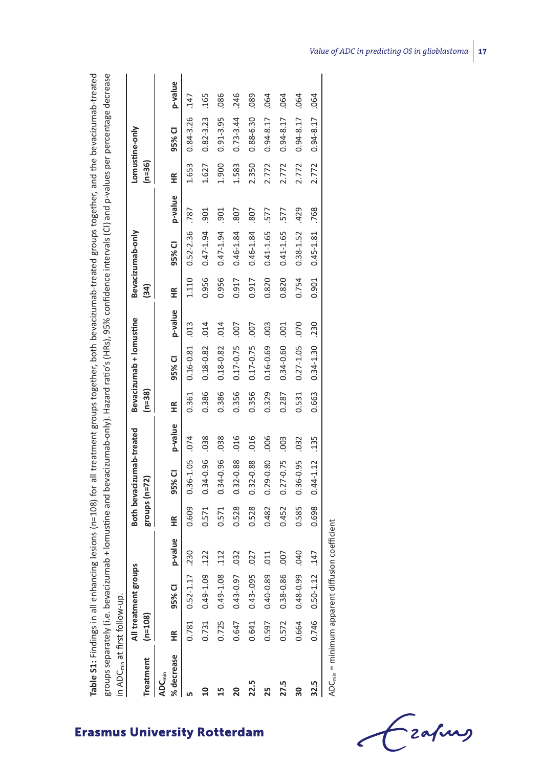| groups separately (i.e. bevacizumab + lomustine and bevacizumab-only). Hazard ratio's (HRs), 95% confidence intervals (CI) and p-values per percentage decrease |                   |                       |                  |                 |                          |         |                   |                         |            |       |                  |         |          |                |         |
|-----------------------------------------------------------------------------------------------------------------------------------------------------------------|-------------------|-----------------------|------------------|-----------------|--------------------------|---------|-------------------|-------------------------|------------|-------|------------------|---------|----------|----------------|---------|
| in ADC <sub>min</sub> at first follow-up.                                                                                                                       |                   |                       |                  |                 |                          |         |                   |                         |            |       |                  |         |          |                |         |
|                                                                                                                                                                 |                   | All treatment groups  |                  |                 | Both bevacizumab-treated |         |                   | Bevacizumab + lomustine |            |       | Bevacizumab-only |         |          | Lomustine-only |         |
| Treatment                                                                                                                                                       | $(n=108)$         |                       |                  | $groups (n=72)$ |                          |         | $(n=38)$          |                         |            | 34)   |                  |         | $(n=36)$ |                |         |
| % decrease<br><b>ADC<sub>min</sub></b>                                                                                                                          | $\widetilde{\Xi}$ | 95% CI                | p-value          | ≆               | 95% CI                   | p-value | $\widetilde{\Xi}$ | 95% CI                  | p-value    | ≆     | 95% CI           | p-value | ≝        | 95% CI         | p-value |
|                                                                                                                                                                 |                   | $0.781$ $0.52 - 1.17$ | .230             | 0.609           | 0.36-1.05                | .074    | 0.361             | $0.16 - 0.81$           | .013       | 1.110 | 0.52-2.36        | .787    | 1.653    | $0.84 - 3.26$  | .147    |
|                                                                                                                                                                 |                   | 0.731 0.49-1.09       | 122              | 0.571           | 0.34-0.96                | .038    | 0.386             | 0.18-0.82               | .014       | 0.956 | $0.47 - 1.94$    | .901    | 1.627    | $0.82 - 3.23$  | .165    |
|                                                                                                                                                                 | 0.725             | $0.49 - 1.08$         | 112              | 0.571           | 0.34-0.96                | .038    | 0.386             | 0.18-0.82               | .014       | 0.956 | $0.47 - 1.94$    | .901    | 1.900    | $0.91 - 3.95$  | .086    |
| 20                                                                                                                                                              | 0.647             | 0.43-0.97             | 032              | 0.528           | 0.32-0.88                | 016     | 0.356             | 0.17-0.75               | 007        | 0.917 | $0.46 - 1.84$    | .807    | 1.583    | $0.73 - 3.44$  | .246    |
| 22.5                                                                                                                                                            | 0.641             | 0.43-095              | 027              | 0.528           | 0.32-0.88                | .016    | 0.356             | 0.17-0.75               | <b>COO</b> | 0.917 | $0.46 - 1.84$    | .807    | 2.350    | 0.88-6.30      | .089    |
| 25                                                                                                                                                              | 0.597             | $0.40 - 0.89$         | 011              | 0.482           | 0.29-0.80                | .006    | 0.329             | 0.16-0.69               | .003       | 0.820 | 0.41-1.65        | 577     | 2.772    | $0.94 - 8.17$  | .064    |
| 27.5                                                                                                                                                            | 0.572             | 0.38-0.86             | 007              | 0.452           | 0.27-0.75                | .003    | 0.287             | 0.34-0.60               | .001       | 0.820 | 0.41-1.65        | 577     | 2.772    | $0.94 - 8.17$  | .064    |
| 30                                                                                                                                                              | 0.664             | 0.48-0.99             | <b>D40</b>       | 0.585           | 0.36-0.95                | .032    | 0.531             | $0.27 - 1.05$           | .070       | 0.754 | 0.38-1.52        | .429    | 2.772    | $0.94 - 8.17$  | .064    |
| 32.5                                                                                                                                                            |                   | $0.746$ $0.50 - 1.12$ | .147             | 0.698           | $0.44 - 1.12$            | .135    | 0.663             | $0.34 - 1.30$           | .230       | 0.901 | $0.45 - 1.81$    | .768    | 2.772    | $0.94 - 8.17$  | .064    |
| $ADC = minimum parameter$                                                                                                                                       |                   |                       | icinn maffiriant |                 |                          |         |                   |                         |            |       |                  |         |          |                |         |

**Table S1:** Findings in all enhancing lesions (n=108) for all treatment groups together, both bevacizumab-treated groups together, and the bevacizumab-treated

Table S1: Findings in all enhancing lesions (n=108) for all treatment groups together, both bevacizumab-treated groups together, and the bevacizumab-treated

ADC<sub>min</sub> = minimum apparent diffusion coefficient ADCmin = minimum apparent diffusion coefficient

Frahing